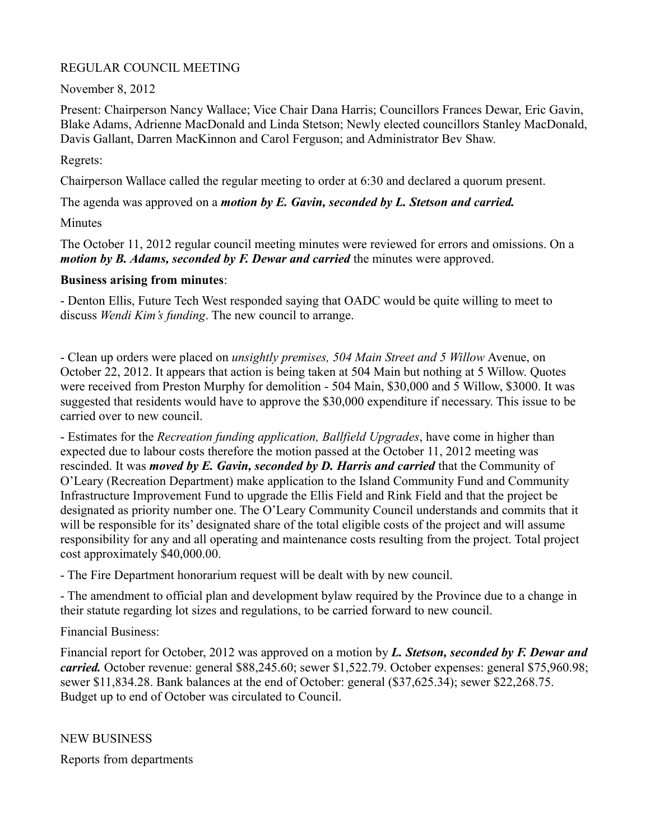# REGULAR COUNCIL MEETING

November 8, 2012

Present: Chairperson Nancy Wallace; Vice Chair Dana Harris; Councillors Frances Dewar, Eric Gavin, Blake Adams, Adrienne MacDonald and Linda Stetson; Newly elected councillors Stanley MacDonald, Davis Gallant, Darren MacKinnon and Carol Ferguson; and Administrator Bev Shaw.

Regrets:

Chairperson Wallace called the regular meeting to order at 6:30 and declared a quorum present.

The agenda was approved on a *motion by E. Gavin, seconded by L. Stetson and carried.*

Minutes

The October 11, 2012 regular council meeting minutes were reviewed for errors and omissions. On a *motion by B. Adams, seconded by F. Dewar and carried* the minutes were approved.

## **Business arising from minutes**:

- Denton Ellis, Future Tech West responded saying that OADC would be quite willing to meet to discuss *Wendi Kim's funding*. The new council to arrange.

- Clean up orders were placed on *unsightly premises, 504 Main Street and 5 Willow* Avenue, on October 22, 2012. It appears that action is being taken at 504 Main but nothing at 5 Willow. Quotes were received from Preston Murphy for demolition - 504 Main, \$30,000 and 5 Willow, \$3000. It was suggested that residents would have to approve the \$30,000 expenditure if necessary. This issue to be carried over to new council.

- Estimates for the *Recreation funding application, Ballfield Upgrades*, have come in higher than expected due to labour costs therefore the motion passed at the October 11, 2012 meeting was rescinded. It was *moved by E. Gavin, seconded by D. Harris and carried* that the Community of O'Leary (Recreation Department) make application to the Island Community Fund and Community Infrastructure Improvement Fund to upgrade the Ellis Field and Rink Field and that the project be designated as priority number one. The O'Leary Community Council understands and commits that it will be responsible for its' designated share of the total eligible costs of the project and will assume responsibility for any and all operating and maintenance costs resulting from the project. Total project cost approximately \$40,000.00.

- The Fire Department honorarium request will be dealt with by new council.

- The amendment to official plan and development bylaw required by the Province due to a change in their statute regarding lot sizes and regulations, to be carried forward to new council.

Financial Business:

Financial report for October, 2012 was approved on a motion by *L. Stetson, seconded by F. Dewar and carried.* October revenue: general \$88,245.60; sewer \$1,522.79. October expenses: general \$75,960.98; sewer \$11,834.28. Bank balances at the end of October: general (\$37,625.34); sewer \$22,268.75. Budget up to end of October was circulated to Council.

NEW BUSINESS

Reports from departments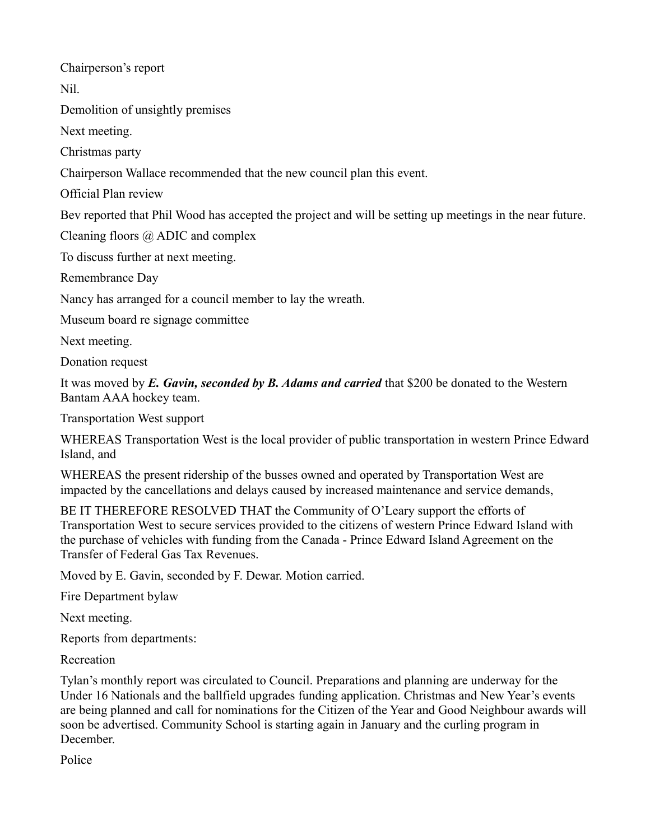Chairperson's report

Nil.

Demolition of unsightly premises

Next meeting.

Christmas party

Chairperson Wallace recommended that the new council plan this event.

Official Plan review

Bev reported that Phil Wood has accepted the project and will be setting up meetings in the near future.

Cleaning floors @ ADIC and complex

To discuss further at next meeting.

Remembrance Day

Nancy has arranged for a council member to lay the wreath.

Museum board re signage committee

Next meeting.

Donation request

It was moved by *E. Gavin, seconded by B. Adams and carried* that \$200 be donated to the Western Bantam AAA hockey team.

Transportation West support

WHEREAS Transportation West is the local provider of public transportation in western Prince Edward Island, and

WHEREAS the present ridership of the busses owned and operated by Transportation West are impacted by the cancellations and delays caused by increased maintenance and service demands,

BE IT THEREFORE RESOLVED THAT the Community of O'Leary support the efforts of Transportation West to secure services provided to the citizens of western Prince Edward Island with the purchase of vehicles with funding from the Canada - Prince Edward Island Agreement on the Transfer of Federal Gas Tax Revenues.

Moved by E. Gavin, seconded by F. Dewar. Motion carried.

Fire Department bylaw

Next meeting.

Reports from departments:

Recreation

Tylan's monthly report was circulated to Council. Preparations and planning are underway for the Under 16 Nationals and the ballfield upgrades funding application. Christmas and New Year's events are being planned and call for nominations for the Citizen of the Year and Good Neighbour awards will soon be advertised. Community School is starting again in January and the curling program in December.

Police